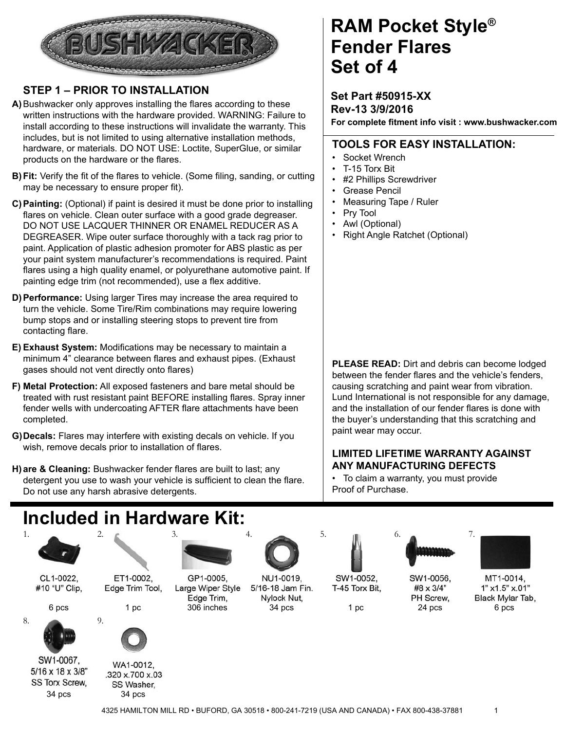

### **STEP 1 – PRIOR TO INSTALLATION**

- A) Bushwacker only approves installing the flares according to these written instructions with the hardware provided. WARNING: Failure to install according to these instructions will invalidate the warranty. This includes, but is not limited to using alternative installation methods, hardware, or materials. DO NOT USE: Loctite, SuperGlue, or similar products on the hardware or the flares.
- **B) Fit:** Verify the fit of the flares to vehicle. (Some filing, sanding, or cutting may be necessary to ensure proper fit).
- **Painting:** (Optional) if paint is desired it must be done prior to installing **C)** flares on vehicle. Clean outer surface with a good grade degreaser. DO NOT USE LACQUER THINNER OR ENAMEL REDUCER AS A DEGREASER. Wipe outer surface thoroughly with a tack rag prior to paint. Application of plastic adhesion promoter for ABS plastic as per your paint system manufacturer's recommendations is required. Paint flares using a high quality enamel, or polyurethane automotive paint. If painting edge trim (not recommended), use a flex additive.
- **Performance:** Using larger Tires may increase the area required to **D)** turn the vehicle. Some Tire/Rim combinations may require lowering bump stops and or installing steering stops to prevent tire from contacting flare.
- E) Exhaust System: Modifications may be necessary to maintain a minimum 4" clearance between flares and exhaust pipes. (Exhaust gases should not vent directly onto flares)
- **Metal Protection:** All exposed fasteners and bare metal should be **F)** treated with rust resistant paint BEFORE installing flares. Spray inner fender wells with undercoating AFTER flare attachments have been completed.
- **Decals:** Flares may interfere with existing decals on vehicle. If you **G)** wish, remove decals prior to installation of flares.
- H) are & Cleaning: Bushwacker fender flares are built to last; any detergent you use to wash your vehicle is sufficient to clean the flare. Do not use any harsh abrasive detergents.

# **Included in Hardware Kit:**

ET1-0002,



8.

CL1-0022. #10 "U" Clip,





WA1-0012,

.320 x.700 x.03

SS Washer,

SW1-0067. 5/16 x 18 x 3/8" **SS Torx Screw,** 34 pcs 34 pcs



GP1-0005, Large Wiper Style Edge Trim, 6 pcs 1 pc 306 inches 34 pcs 1 pc 24 pcs



NU1-0019, 5/16-18 Jam Fin. Nylock Nut,



SW1-0052, T-45 Torx Bit,



SW1-0056,

#8 x 3/4"

PH Screw,





MT1-0014, 1" x1.5" x.01" Black Mylar Tab, 6 pcs

# **RAM Pocket Style® Set of 4 Fender Flares**

**Set Part #50915-XX Rev-13 3/9/2016 For complete fi tment info visit : www.bushwacker.com**

### **TOOLS FOR EASY INSTALLATION:**

- Socket Wrench
- T-15 Torx Bit
- #2 Phillips Screwdriver
- Grease Pencil
- Measuring Tape / Ruler
- Pry Tool
- Awl (Optional)
- Right Angle Ratchet (Optional)

**PLEASE READ:** Dirt and debris can become lodged between the fender flares and the vehicle's fenders, causing scratching and paint wear from vibration. Lund International is not responsible for any damage, and the installation of our fender flares is done with the buyer's understanding that this scratching and paint wear may occur.

#### **LIMITED LIFETIME WARRANTY AGAINST ANY MANUFACTURING DEFECTS**

• To claim a warranty, you must provide Proof of Purchase.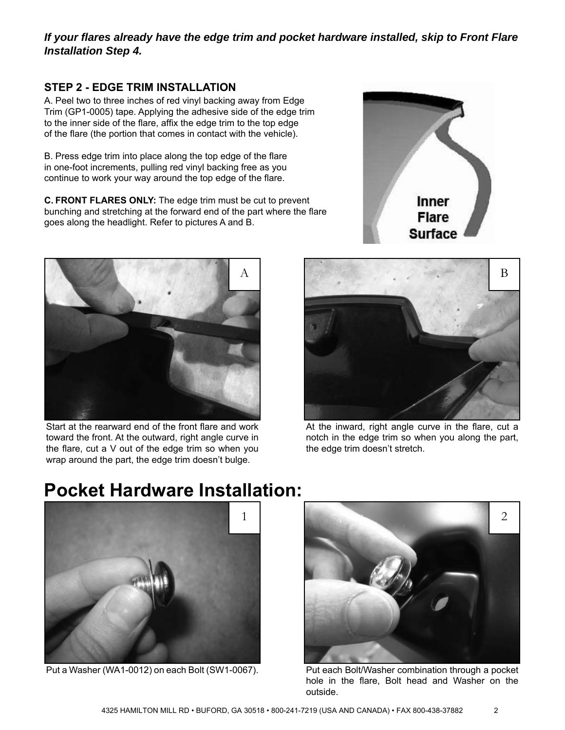*If your fl ares already have the edge trim and pocket hardware installed, skip to Front Flare Installation Step 4.*

#### **STEP 2 - EDGE TRIM INSTALLATION**

A. Peel two to three inches of red vinyl backing away from Edge Trim (GP1-0005) tape. Applying the adhesive side of the edge trim to the inner side of the flare, affix the edge trim to the top edge of the flare (the portion that comes in contact with the vehicle).

B. Press edge trim into place along the top edge of the flare in one-foot increments, pulling red vinyl backing free as you continue to work your way around the top edge of the flare.

**C. FRONT FLARES ONLY:** The edge trim must be cut to prevent bunching and stretching at the forward end of the part where the flare goes along the headlight. Refer to pictures A and B.





Start at the rearward end of the front flare and work toward the front. At the outward, right angle curve in the flare, cut a  $V$  out of the edge trim so when you wrap around the part, the edge trim doesn't bulge.



At the inward, right angle curve in the flare, cut a notch in the edge trim so when you along the part, the edge trim doesn't stretch.

# **Pocket Hardware Installation:**



Put a Washer (WA1-0012) on each Bolt (SW1-0067).



Put each Bolt/Washer combination through a pocket hole in the flare, Bolt head and Washer on the outside.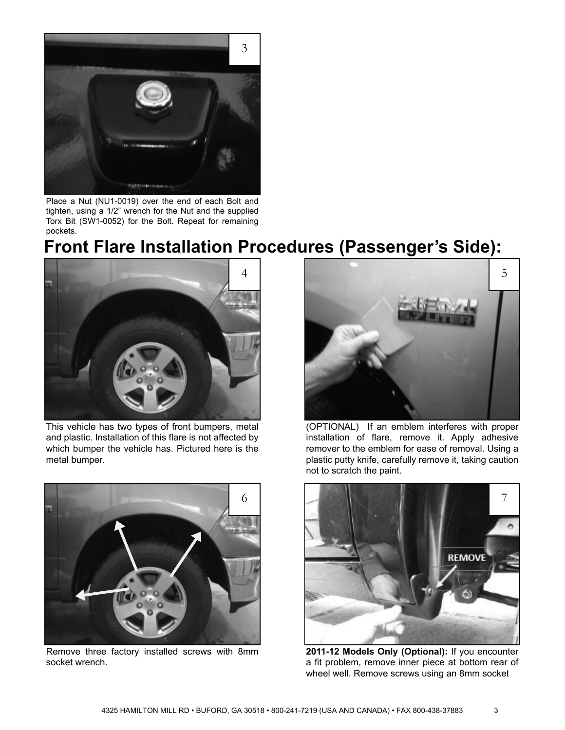

Place a Nut (NU1-0019) over the end of each Bolt and tighten, using a 1/2" wrench for the Nut and the supplied Torx Bit (SW1-0052) for the Bolt. Repeat for remaining pockets.

### **Front Flare Installation Procedures (Passenger's Side):**



This vehicle has two types of front bumpers, metal and plastic. Installation of this flare is not affected by which bumper the vehicle has. Pictured here is the metal bumper.



Remove three factory installed screws with 8mm socket wrench.



(OPTIONAL) If an emblem interferes with proper installation of flare, remove it. Apply adhesive remover to the emblem for ease of removal. Using a plastic putty knife, carefully remove it, taking caution not to scratch the paint.



**2011-12 Models Only (Optional):** If you encounter a fit problem, remove inner piece at bottom rear of wheel well. Remove screws using an 8mm socket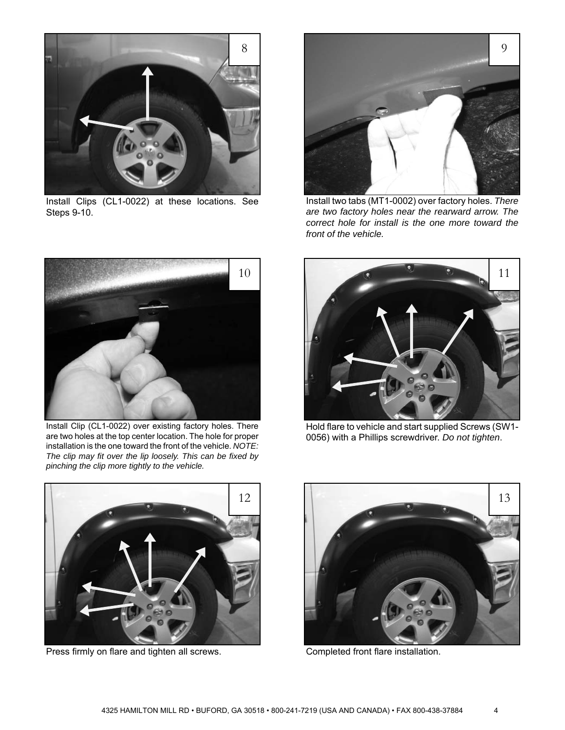

Install Clips (CL1-0022) at these locations. See Steps 9-10.



Install two tabs (MT1-0002) over factory holes. *There are two factory holes near the rearward arrow. The correct hole for install is the one more toward the front of the vehicle.*



Install Clip (CL1-0022) over existing factory holes. There are two holes at the top center location. The hole for proper installation is the one toward the front of the vehicle. *NOTE: The clip may fi t over the lip loosely. This can be fi xed by pinching the clip more tightly to the vehicle.*



Hold flare to vehicle and start supplied Screws (SW1-0056) with a Phillips screwdriver. *Do not tighten*.



Press firmly on flare and tighten all screws. Completed front flare installation.

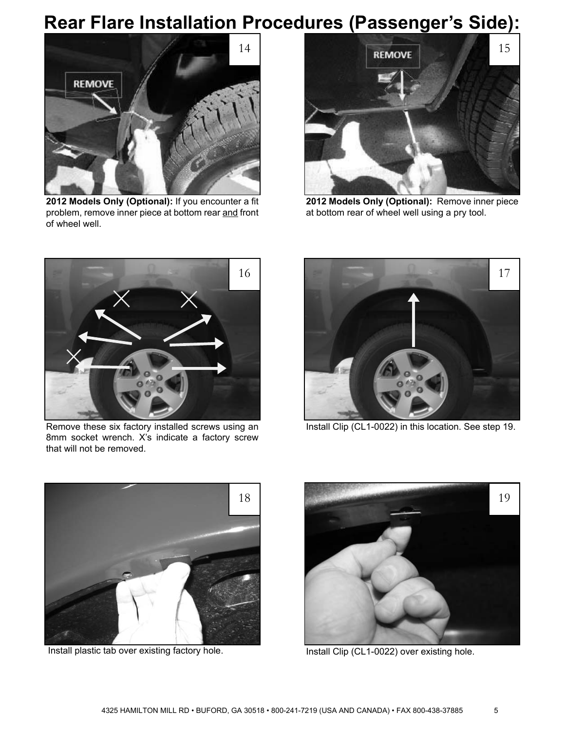# **Rear Flare Installation Procedures (Passenger's Side):**



2012 Models Only (Optional): If you encounter a fit problem, remove inner piece at bottom rear and front of wheel well.



**2012 Models Only (Optional):** Remove inner piece at bottom rear of wheel well using a pry tool.



Remove these six factory installed screws using an Install Clip (CL1-0022) in this location. See step 19. 8mm socket wrench. X's indicate a factory screw that will not be removed.





Install plastic tab over existing factory hole.



Install Clip (CL1-0022) over existing hole.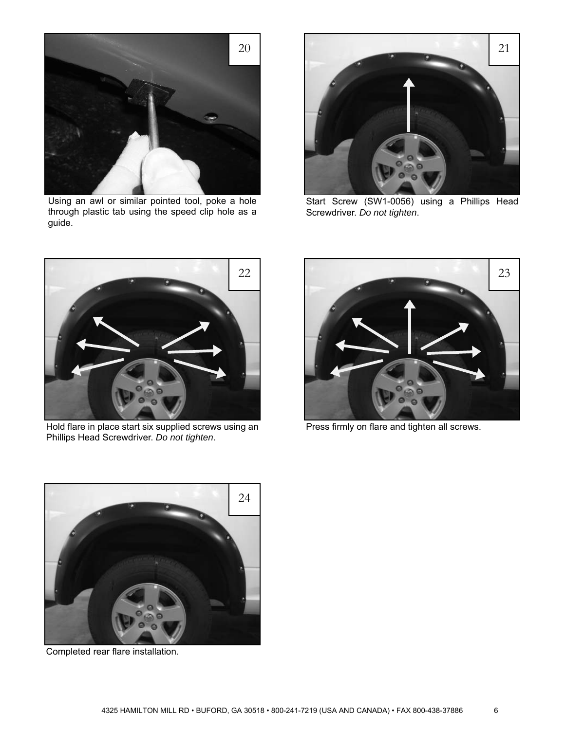

Using an awl or similar pointed tool, poke a hole through plastic tab using the speed clip hole as a guide.



Start Screw (SW1-0056) using a Phillips Head Screwdriver. *Do not tighten*.



Hold flare in place start six supplied screws using an Phillips Head Screwdriver. *Do not tighten*.



Press firmly on flare and tighten all screws.



Completed rear flare installation.